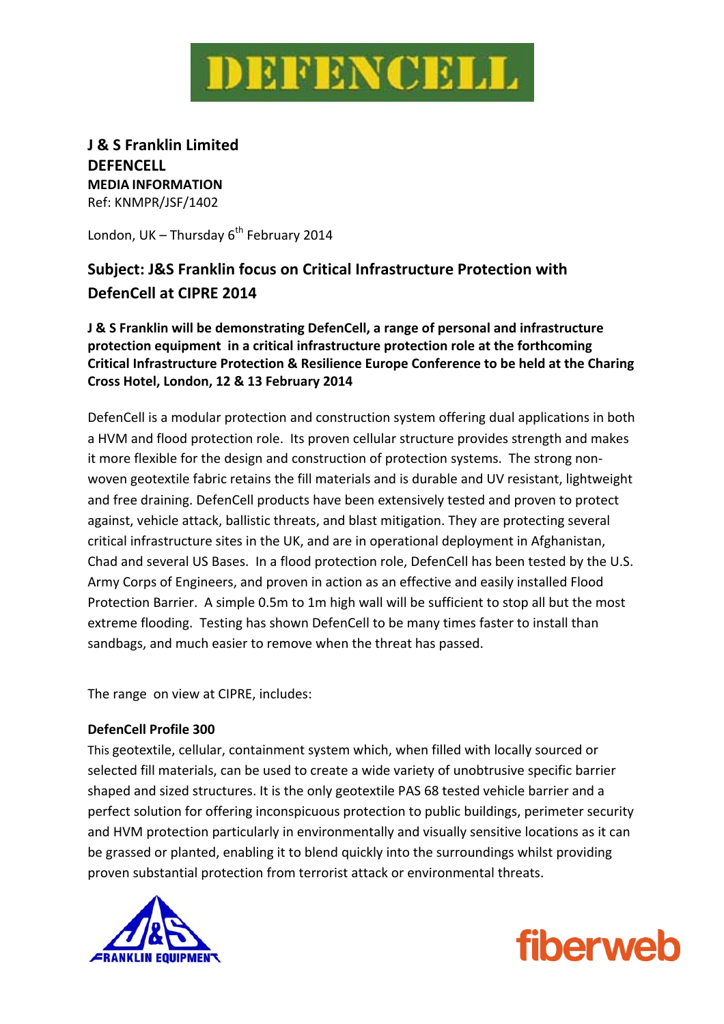

**J & S Franklin Limited DEFENCELL MEDIA INFORMATION** Ref: KNMPR/JSF/1402

London, UK – Thursday  $6^{th}$  February 2014

# **Subject: J&S Franklin focus on Critical Infrastructure Protection with DefenCell at CIPRE 2014**

**J & S Franklin will be demonstrating DefenCell, a range of personal and infrastructure protection equipment in a critical infrastructure protection role at the forthcoming Critical Infrastructure Protection & Resilience Europe Conference to be held at the Charing Cross Hotel, London, 12 & 13 February 2014** 

DefenCell is a modular protection and construction system offering dual applications in both a HVM and flood protection role. Its proven cellular structure provides strength and makes it more flexible for the design and construction of protection systems. The strong nonwoven geotextile fabric retains the fill materials and is durable and UV resistant, lightweight and free draining. DefenCell products have been extensively tested and proven to protect against, vehicle attack, ballistic threats, and blast mitigation. They are protecting several critical infrastructure sites in the UK, and are in operational deployment in Afghanistan, Chad and several US Bases. In a flood protection role, DefenCell has been tested by the U.S. Army Corps of Engineers, and proven in action as an effective and easily installed Flood Protection Barrier. A simple 0.5m to 1m high wall will be sufficient to stop all but the most extreme flooding. Testing has shown DefenCell to be many times faster to install than sandbags, and much easier to remove when the threat has passed.

The range on view at CIPRE, includes:

### **DefenCell Profile 300**

This geotextile, cellular, containment system which, when filled with locally sourced or selected fill materials, can be used to create a wide variety of unobtrusive specific barrier shaped and sized structures. It is the only geotextile PAS 68 tested vehicle barrier and a perfect solution for offering inconspicuous protection to public buildings, perimeter security and HVM protection particularly in environmentally and visually sensitive locations as it can be grassed or planted, enabling it to blend quickly into the surroundings whilst providing proven substantial protection from terrorist attack or environmental threats.



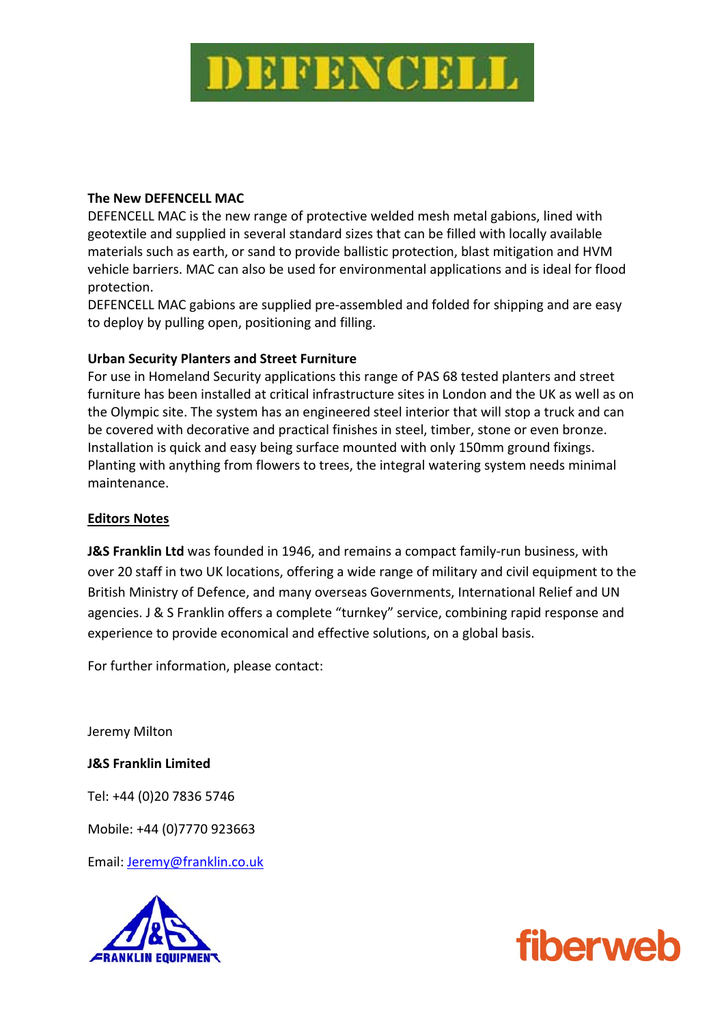

## **The New DEFENCELL MAC**

DEFENCELL MAC is the new range of protective welded mesh metal gabions, lined with geotextile and supplied in several standard sizes that can be filled with locally available materials such as earth, or sand to provide ballistic protection, blast mitigation and HVM vehicle barriers. MAC can also be used for environmental applications and is ideal for flood protection.

DEFENCELL MAC gabions are supplied pre‐assembled and folded for shipping and are easy to deploy by pulling open, positioning and filling.

## **Urban Security Planters and Street Furniture**

For use in Homeland Security applications this range of PAS 68 tested planters and street furniture has been installed at critical infrastructure sites in London and the UK as well as on the Olympic site. The system has an engineered steel interior that will stop a truck and can be covered with decorative and practical finishes in steel, timber, stone or even bronze. Installation is quick and easy being surface mounted with only 150mm ground fixings. Planting with anything from flowers to trees, the integral watering system needs minimal maintenance.

### **Editors Notes**

**J&S Franklin Ltd** was founded in 1946, and remains a compact family‐run business, with over 20 staff in two UK locations, offering a wide range of military and civil equipment to the British Ministry of Defence, and many overseas Governments, International Relief and UN agencies. J & S Franklin offers a complete "turnkey" service, combining rapid response and experience to provide economical and effective solutions, on a global basis.

For further information, please contact:

Jeremy Milton

**J&S Franklin Limited** 

Tel: +44 (0)20 7836 5746

Mobile: +44 (0)7770 923663

Email: Jeremy@franklin.co.uk